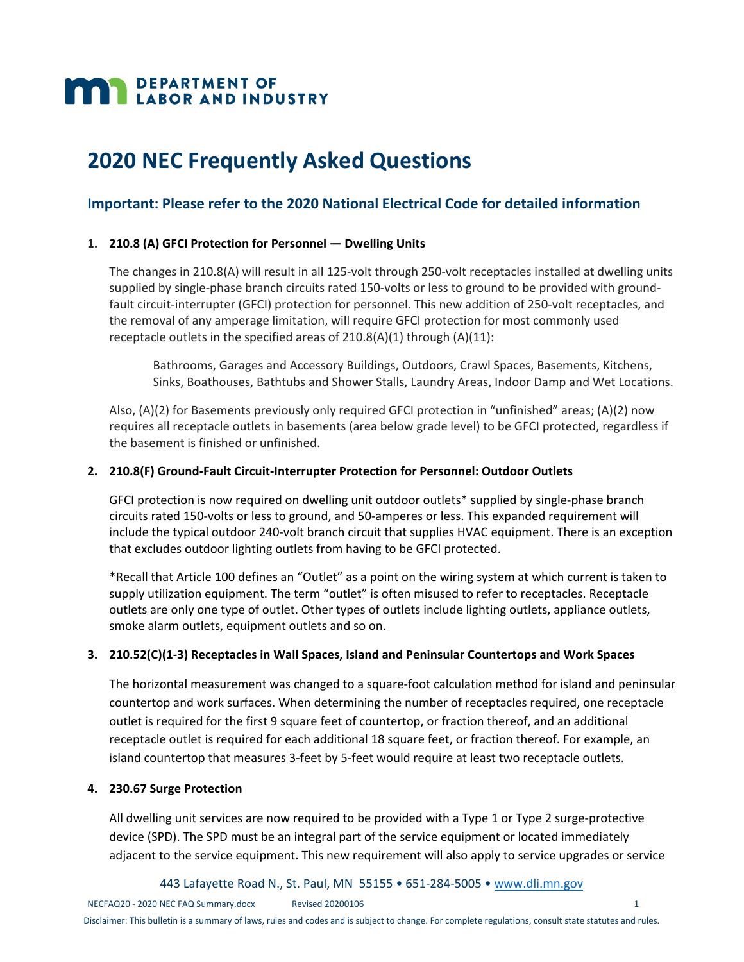# **MAN DEPARTMENT OF LABOR AND INDUSTRY**

# **2020 NEC Frequently Asked Questions**

# **Important: Please refer to the 2020 National Electrical Code for detailed information**

#### **1. 210.8 (A) GFCI Protection for Personnel — Dwelling Units**

The changes in 210.8(A) will result in all 125-volt through 250-volt receptacles installed at dwelling units supplied by single‐phase branch circuits rated 150‐volts or less to ground to be provided with ground‐ fault circuit-interrupter (GFCI) protection for personnel. This new addition of 250-volt receptacles, and the removal of any amperage limitation, will require GFCI protection for most commonly used receptacle outlets in the specified areas of  $210.8(A)(1)$  through  $(A)(11)$ :

Bathrooms, Garages and Accessory Buildings, Outdoors, Crawl Spaces, Basements, Kitchens, Sinks, Boathouses, Bathtubs and Shower Stalls, Laundry Areas, Indoor Damp and Wet Locations.

Also, (A)(2) for Basements previously only required GFCI protection in "unfinished" areas; (A)(2) now requires all receptacle outlets in basements (area below grade level) to be GFCI protected, regardless if the basement is finished or unfinished.

#### **2. 210.8(F) Ground‐Fault Circuit‐Interrupter Protection for Personnel: Outdoor Outlets**

GFCI protection is now required on dwelling unit outdoor outlets\* supplied by single‐phase branch circuits rated 150‐volts or less to ground, and 50‐amperes or less. This expanded requirement will include the typical outdoor 240‐volt branch circuit that supplies HVAC equipment. There is an exception that excludes outdoor lighting outlets from having to be GFCI protected.

\*Recall that Article 100 defines an "Outlet" as a point on the wiring system at which current is taken to supply utilization equipment. The term "outlet" is often misused to refer to receptacles. Receptacle outlets are only one type of outlet. Other types of outlets include lighting outlets, appliance outlets, smoke alarm outlets, equipment outlets and so on.

#### **3. 210.52(C)(1‐3) Receptacles in Wall Spaces, Island and Peninsular Countertops and Work Spaces**

The horizontal measurement was changed to a square‐foot calculation method for island and peninsular countertop and work surfaces. When determining the number of receptacles required, one receptacle outlet is required for the first 9 square feet of countertop, or fraction thereof, and an additional receptacle outlet is required for each additional 18 square feet, or fraction thereof. For example, an island countertop that measures 3-feet by 5-feet would require at least two receptacle outlets.

#### **4. 230.67 Surge Protection**

All dwelling unit services are now required to be provided with a Type 1 or Type 2 surge-protective device (SPD). The SPD must be an integral part of the service equipment or located immediately adjacent to the service equipment. This new requirement will also apply to service upgrades or service

443 Lafayette Road N., St. Paul, MN 55155 • 651‐284‐5005 • www.dli.mn.gov

NECFAQ20 ‐ 2020 NEC FAQ Summary.docx Revised 20200106 1 Disclaimer: This bulletin is a summary of laws, rules and codes and is subject to change. For complete regulations, consult state statutes and rules.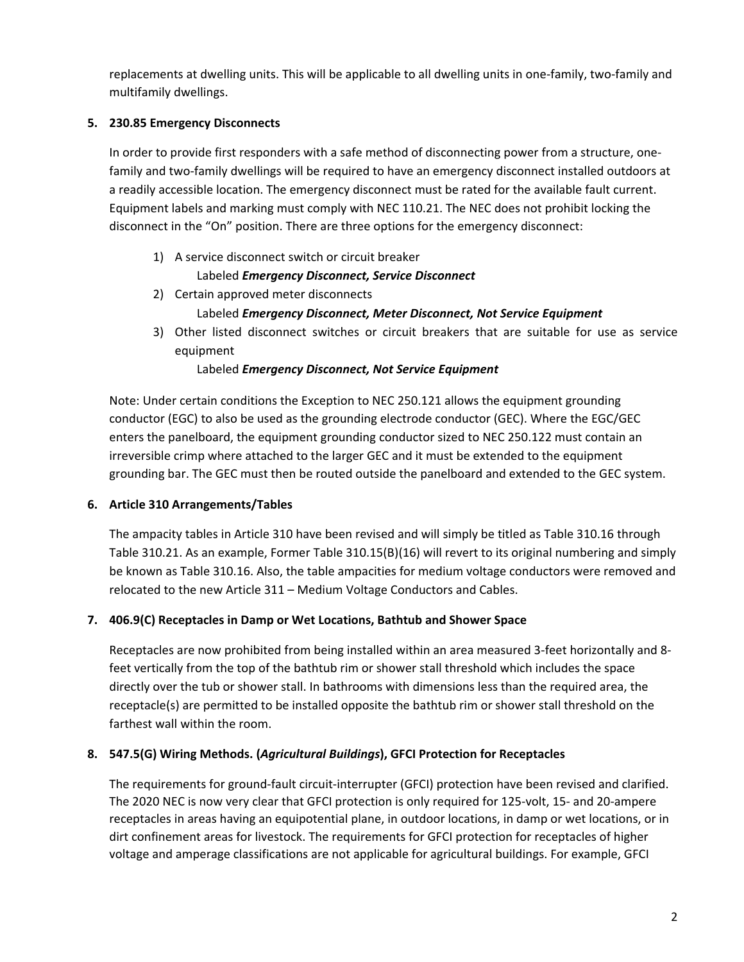replacements at dwelling units. This will be applicable to all dwelling units in one-family, two-family and multifamily dwellings.

### **5. 230.85 Emergency Disconnects**

In order to provide first responders with a safe method of disconnecting power from a structure, one‐ family and two-family dwellings will be required to have an emergency disconnect installed outdoors at a readily accessible location. The emergency disconnect must be rated for the available fault current. Equipment labels and marking must comply with NEC 110.21. The NEC does not prohibit locking the disconnect in the "On" position. There are three options for the emergency disconnect:

- 1) A service disconnect switch or circuit breaker Labeled *Emergency Disconnect, Service Disconnect*
- 2) Certain approved meter disconnects Labeled *Emergency Disconnect, Meter Disconnect, Not Service Equipment*
- 3) Other listed disconnect switches or circuit breakers that are suitable for use as service equipment

#### Labeled *Emergency Disconnect, Not Service Equipment*

Note: Under certain conditions the Exception to NEC 250.121 allows the equipment grounding conductor (EGC) to also be used as the grounding electrode conductor (GEC). Where the EGC/GEC enters the panelboard, the equipment grounding conductor sized to NEC 250.122 must contain an irreversible crimp where attached to the larger GEC and it must be extended to the equipment grounding bar. The GEC must then be routed outside the panelboard and extended to the GEC system.

#### **6. Article 310 Arrangements/Tables**

The ampacity tables in Article 310 have been revised and will simply be titled as Table 310.16 through Table 310.21. As an example, Former Table 310.15(B)(16) will revert to its original numbering and simply be known as Table 310.16. Also, the table ampacities for medium voltage conductors were removed and relocated to the new Article 311 – Medium Voltage Conductors and Cables.

#### **7. 406.9(C) Receptacles in Damp or Wet Locations, Bathtub and Shower Space**

Receptacles are now prohibited from being installed within an area measured 3‐feet horizontally and 8‐ feet vertically from the top of the bathtub rim or shower stall threshold which includes the space directly over the tub or shower stall. In bathrooms with dimensions less than the required area, the receptacle(s) are permitted to be installed opposite the bathtub rim or shower stall threshold on the farthest wall within the room.

# **8. 547.5(G) Wiring Methods. (***Agricultural Buildings***), GFCI Protection for Receptacles**

The requirements for ground‐fault circuit‐interrupter (GFCI) protection have been revised and clarified. The 2020 NEC is now very clear that GFCI protection is only required for 125‐volt, 15‐ and 20‐ampere receptacles in areas having an equipotential plane, in outdoor locations, in damp or wet locations, or in dirt confinement areas for livestock. The requirements for GFCI protection for receptacles of higher voltage and amperage classifications are not applicable for agricultural buildings. For example, GFCI